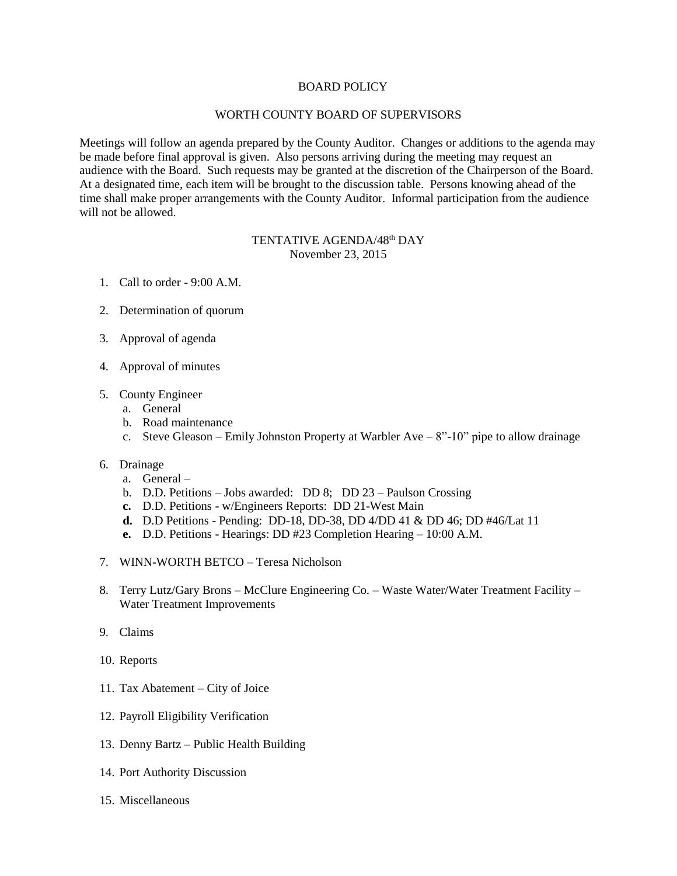## BOARD POLICY

## WORTH COUNTY BOARD OF SUPERVISORS

Meetings will follow an agenda prepared by the County Auditor. Changes or additions to the agenda may be made before final approval is given. Also persons arriving during the meeting may request an audience with the Board. Such requests may be granted at the discretion of the Chairperson of the Board. At a designated time, each item will be brought to the discussion table. Persons knowing ahead of the time shall make proper arrangements with the County Auditor. Informal participation from the audience will not be allowed.

## TENTATIVE AGENDA/48<sup>th</sup> DAY November 23, 2015

- 1. Call to order 9:00 A.M.
- 2. Determination of quorum
- 3. Approval of agenda
- 4. Approval of minutes
- 5. County Engineer
	- a. General
	- b. Road maintenance
	- c. Steve Gleason Emily Johnston Property at Warbler Ave  $8"$ -10" pipe to allow drainage
- 6. Drainage
	- a. General –
	- b. D.D. Petitions Jobs awarded: DD 8; DD 23 Paulson Crossing
	- **c.** D.D. Petitions w/Engineers Reports: DD 21-West Main
	- **d.** D.D Petitions Pending: DD-18, DD-38, DD 4/DD 41 & DD 46; DD #46/Lat 11
	- **e.** D.D. Petitions Hearings: DD #23 Completion Hearing 10:00 A.M.
- 7. WINN-WORTH BETCO Teresa Nicholson
- 8. Terry Lutz/Gary Brons McClure Engineering Co. Waste Water/Water Treatment Facility Water Treatment Improvements
- 9. Claims
- 10. Reports
- 11. Tax Abatement City of Joice
- 12. Payroll Eligibility Verification
- 13. Denny Bartz Public Health Building
- 14. Port Authority Discussion
- 15. Miscellaneous